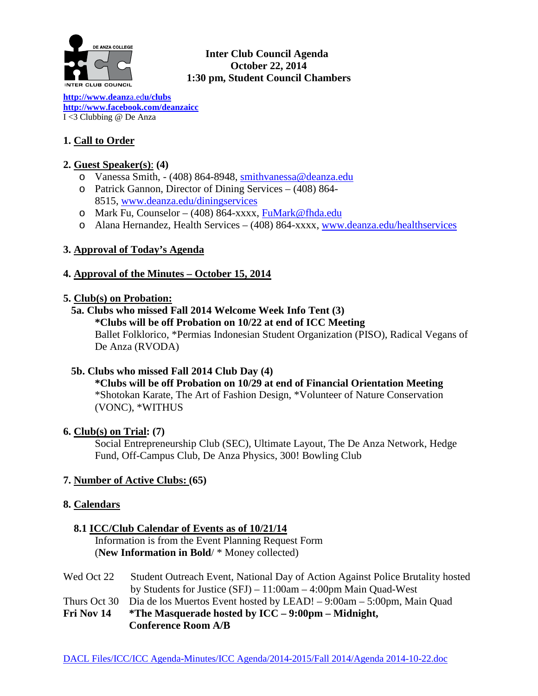

## **Inter Club Council Agenda October 22, 2014 1:30 pm, Student Council Chambers**

**[http://www.deanz](http://www.deanza.edu/clubs)**a.ed**u/clubs [http://www.facebook.com/deanzaicc](http://www.facebook.com/home.php%23!/group.php?gid=59034552686)** I <3 Clubbing @ De Anza

# **1. Call to Order**

## **2. Guest Speaker(s)**: **(4)**

- o Vanessa Smith, (408) 864-8948, [smithvanessa@deanza.edu](mailto:smithvanessa@deanza.edu)
- o Patrick Gannon, Director of Dining Services (408) 864- 8515, [www.deanza.edu/diningservices](http://www.deanza.edu/diningservices)
- o Mark Fu, Counselor (408) 864-xxxx, [FuMark@fhda.edu](mailto:FuMark@fhda.edu)
- o Alana Hernandez, Health Services (408) 864-xxxx, [www.deanza.edu/healthservices](http://www.deanza.edu/healthservices)

# **3. Approval of Today's Agenda**

# **4. Approval of the Minutes – October 15, 2014**

### **5. Club(s) on Probation:**

## **5a. Clubs who missed Fall 2014 Welcome Week Info Tent (3)**

**\*Clubs will be off Probation on 10/22 at end of ICC Meeting** Ballet Folklorico, \*Permias Indonesian Student Organization (PISO), Radical Vegans of De Anza (RVODA)

## **5b. Clubs who missed Fall 2014 Club Day (4)**

**\*Clubs will be off Probation on 10/29 at end of Financial Orientation Meeting** \*Shotokan Karate, The Art of Fashion Design, \*Volunteer of Nature Conservation (VONC), \*WITHUS

## **6. Club(s) on Trial: (7)**

Social Entrepreneurship Club (SEC), Ultimate Layout, The De Anza Network, Hedge Fund, Off-Campus Club, De Anza Physics, 300! Bowling Club

## **7. Number of Active Clubs: (65)**

# **8. Calendars**

## **8.1 ICC/Club Calendar of Events as of 10/21/14**

 Information is from the Event Planning Request Form (**New Information in Bold**/ \* Money collected)

| Fri Nov 14 | <i>*</i> The Masquerade hosted by $ICC - 9:00 \text{pm} - Midnight$ ,                  |
|------------|----------------------------------------------------------------------------------------|
|            | Thurs Oct 30 Dia de los Muertos Event hosted by LEAD! $-9:00$ am $-5:00$ pm, Main Quad |
|            | by Students for Justice $(SFJ) - 11:00$ am $-4:00$ pm Main Quad-West                   |
| Wed Oct 22 | Student Outreach Event, National Day of Action Against Police Brutality hosted         |

## **Conference Room A/B**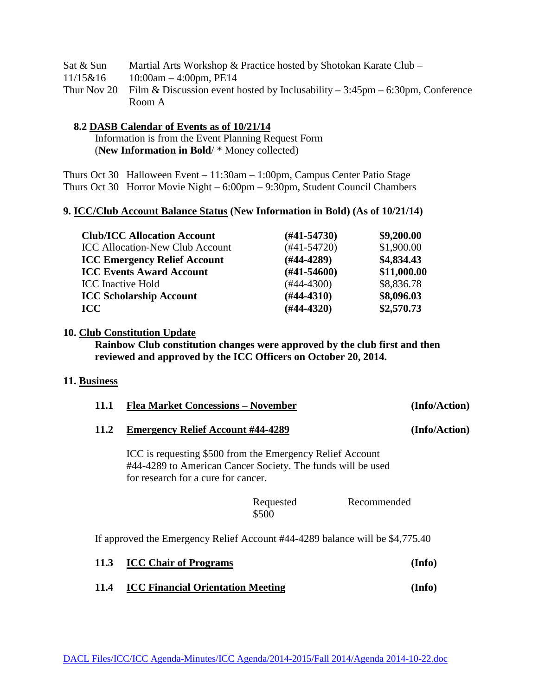| Sat & Sun | Martial Arts Workshop & Practice hosted by Shotokan Karate Club –                                         |
|-----------|-----------------------------------------------------------------------------------------------------------|
| 11/15&16  | $10:00$ am $-4:00$ pm, PE14                                                                               |
|           | Thur Nov 20 Film & Discussion event hosted by Inclusability $-3:45\text{pm} - 6:30\text{pm}$ , Conference |
|           | Room A                                                                                                    |

#### **8.2 DASB Calendar of Events as of 10/21/14**

 Information is from the Event Planning Request Form (**New Information in Bold**/ \* Money collected)

Thurs Oct 30 Halloween Event – 11:30am – 1:00pm, Campus Center Patio Stage Thurs Oct 30 Horror Movie Night – 6:00pm – 9:30pm, Student Council Chambers

#### **9. ICC/Club Account Balance Status (New Information in Bold) (As of 10/21/14)**

| <b>Club/ICC Allocation Account</b>     | $(H41-54730)$ | \$9,200.00  |
|----------------------------------------|---------------|-------------|
| <b>ICC Allocation-New Club Account</b> | $(#41-54720)$ | \$1,900.00  |
| <b>ICC Emergency Relief Account</b>    | $(H44-4289)$  | \$4,834.43  |
| <b>ICC Events Award Account</b>        | $(H41-54600)$ | \$11,000.00 |
| <b>ICC</b> Inactive Hold               | $(#44-4300)$  | \$8,836.78  |
| <b>ICC Scholarship Account</b>         | $(#44-4310)$  | \$8,096.03  |
| <b>ICC</b>                             | $(H44-4320)$  | \$2,570.73  |

#### **10. Club Constitution Update**

**Rainbow Club constitution changes were approved by the club first and then reviewed and approved by the ICC Officers on October 20, 2014.**

#### **11. Business**

| 11.1                                                                         | <b>Flea Market Concessions - November</b>                                                                                                                       |                    |             | (Info/Action) |  |  |
|------------------------------------------------------------------------------|-----------------------------------------------------------------------------------------------------------------------------------------------------------------|--------------------|-------------|---------------|--|--|
| 11.2                                                                         | <b>Emergency Relief Account #44-4289</b>                                                                                                                        |                    |             | (Info/Action) |  |  |
|                                                                              | ICC is requesting \$500 from the Emergency Relief Account<br>#44-4289 to American Cancer Society. The funds will be used<br>for research for a cure for cancer. |                    |             |               |  |  |
|                                                                              |                                                                                                                                                                 | Requested<br>\$500 | Recommended |               |  |  |
| If approved the Emergency Relief Account #44-4289 balance will be \$4,775.40 |                                                                                                                                                                 |                    |             |               |  |  |
| 11.3                                                                         | <b>ICC Chair of Programs</b>                                                                                                                                    |                    |             | (Info)        |  |  |

**11.4 ICC Financial Orientation Meeting (Info)**